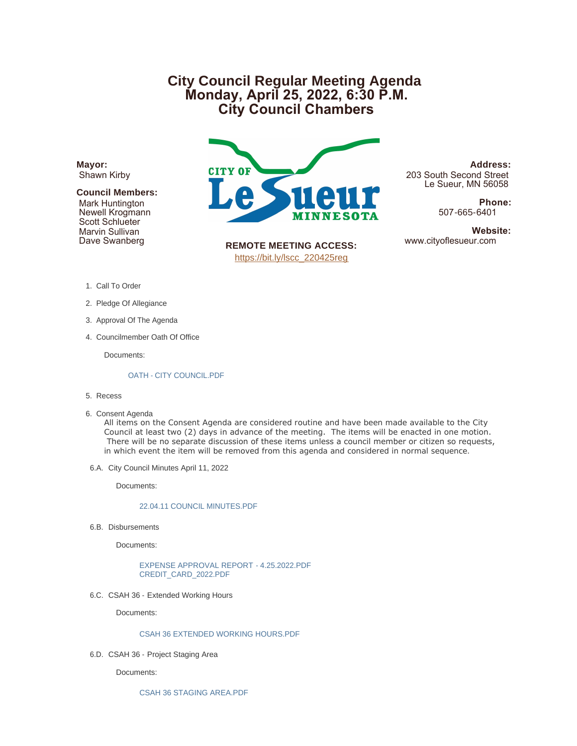# **City Council Regular Meeting Agenda Monday, April 25, 2022, 6:30 P.M. City Council Chambers**

**Mayor:** Shawn Kirby

## **Council Members:**

 Mark Huntington Newell Krogmann Scott Schlueter Marvin Sullivan Dave Swanberg



**REMOTE MEETING ACCESS:** [https://bit.ly/lscc\\_220425reg](https://bit.ly/lscc_220425reg)

**Address:** 203 South Second Street Le Sueur, MN 56058

> **Phone:** 507-665-6401

**Website:**<br>www.cityoflesueur.com

- 1. Call To Order
- 2. Pledge Of Allegiance
- 3. Approval Of The Agenda
- 4. Councilmember Oath Of Office

Documents:

### [OATH - CITY COUNCIL.PDF](http://cityoflesueur.com/AgendaCenter/ViewFile/Item/2595?fileID=3194)

- Recess 5.
- 6. Consent Agenda

All items on the Consent Agenda are considered routine and have been made available to the City Council at least two (2) days in advance of the meeting. The items will be enacted in one motion. There will be no separate discussion of these items unless a council member or citizen so requests, in which event the item will be removed from this agenda and considered in normal sequence.

6.A. City Council Minutes April 11, 2022

Documents:

## [22.04.11 COUNCIL MINUTES.PDF](http://cityoflesueur.com/AgendaCenter/ViewFile/Item/2597?fileID=3195)

6.B. Disbursements

Documents:

[EXPENSE APPROVAL REPORT - 4.25.2022.PDF](http://cityoflesueur.com/AgendaCenter/ViewFile/Item/2598?fileID=3206) [CREDIT\\_CARD\\_2022.PDF](http://cityoflesueur.com/AgendaCenter/ViewFile/Item/2598?fileID=3207)

6.C. CSAH 36 - Extended Working Hours

Documents:

### [CSAH 36 EXTENDED WORKING HOURS.PDF](http://cityoflesueur.com/AgendaCenter/ViewFile/Item/2600?fileID=3197)

6.D. CSAH 36 - Project Staging Area

Documents:

[CSAH 36 STAGING AREA.PDF](http://cityoflesueur.com/AgendaCenter/ViewFile/Item/2601?fileID=3198)